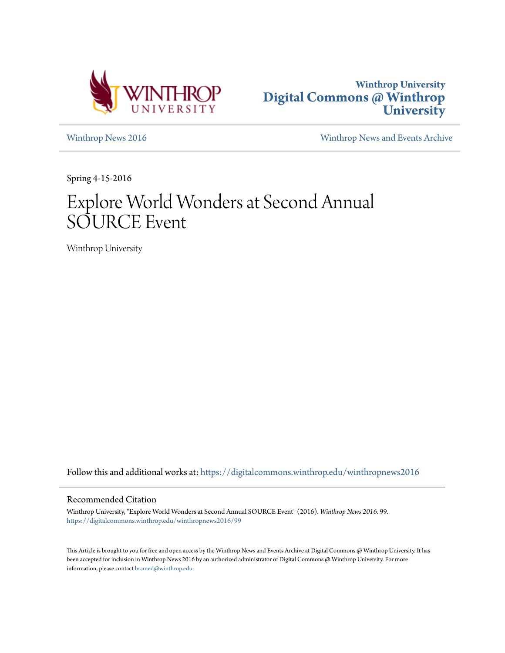



[Winthrop News 2016](https://digitalcommons.winthrop.edu/winthropnews2016?utm_source=digitalcommons.winthrop.edu%2Fwinthropnews2016%2F99&utm_medium=PDF&utm_campaign=PDFCoverPages) [Winthrop News and Events Archive](https://digitalcommons.winthrop.edu/winthropnewsarchives?utm_source=digitalcommons.winthrop.edu%2Fwinthropnews2016%2F99&utm_medium=PDF&utm_campaign=PDFCoverPages)

Spring 4-15-2016

# Explore World Wonders at Second Annual SOURCE Event

Winthrop University

Follow this and additional works at: [https://digitalcommons.winthrop.edu/winthropnews2016](https://digitalcommons.winthrop.edu/winthropnews2016?utm_source=digitalcommons.winthrop.edu%2Fwinthropnews2016%2F99&utm_medium=PDF&utm_campaign=PDFCoverPages)

#### Recommended Citation

Winthrop University, "Explore World Wonders at Second Annual SOURCE Event" (2016). *Winthrop News 2016*. 99. [https://digitalcommons.winthrop.edu/winthropnews2016/99](https://digitalcommons.winthrop.edu/winthropnews2016/99?utm_source=digitalcommons.winthrop.edu%2Fwinthropnews2016%2F99&utm_medium=PDF&utm_campaign=PDFCoverPages)

This Article is brought to you for free and open access by the Winthrop News and Events Archive at Digital Commons @ Winthrop University. It has been accepted for inclusion in Winthrop News 2016 by an authorized administrator of Digital Commons @ Winthrop University. For more information, please contact [bramed@winthrop.edu](mailto:bramed@winthrop.edu).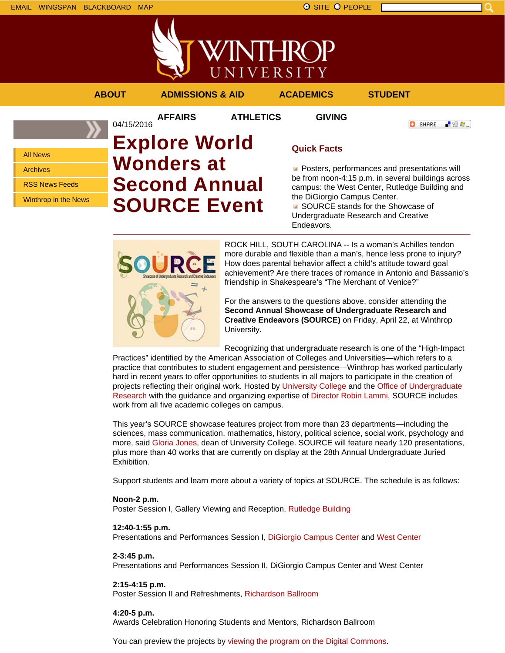



**AFFAIRS ATHLETICS GIVING**

**O** SHARE

- 89 年 -

All News

Archives

RSS News Feeds

Winthrop in the News

## 04/15/2016 **Explore World Wonders at Second Annual SOURCE Event**

### **Quick Facts**

**Posters, performances and presentations will** be from noon-4:15 p.m. in several buildings across campus: the West Center, Rutledge Building and the DiGiorgio Campus Center.

■ SOURCE stands for the Showcase of Undergraduate Research and Creative Endeavors.



ROCK HILL, SOUTH CAROLINA -- Is a woman's Achilles tendon more durable and flexible than a man's, hence less prone to injury? How does parental behavior affect a child's attitude toward goal achievement? Are there traces of romance in Antonio and Bassanio's friendship in Shakespeare's "The Merchant of Venice?"

For the answers to the questions above, consider attending the **Second Annual Showcase of Undergraduate Research and Creative Endeavors (SOURCE)** on Friday, April 22, at Winthrop University.

Recognizing that undergraduate research is one of the "High-Impact

Practices" identified by the American Association of Colleges and Universities—which refers to a practice that contributes to student engagement and persistence—Winthrop has worked particularly hard in recent years to offer opportunities to students in all majors to participate in the creation of projects reflecting their original work. Hosted by University College and the Office of Undergraduate Research with the guidance and organizing expertise of Director Robin Lammi, SOURCE includes work from all five academic colleges on campus.

This year's SOURCE showcase features project from more than 23 departments—including the sciences, mass communication, mathematics, history, political science, social work, psychology and more, said Gloria Jones, dean of University College. SOURCE will feature nearly 120 presentations, plus more than 40 works that are currently on display at the 28th Annual Undergraduate Juried Exhibition.

Support students and learn more about a variety of topics at SOURCE. The schedule is as follows:

#### **Noon-2 p.m.**

Poster Session I, Gallery Viewing and Reception, Rutledge Building

#### **12:40-1:55 p.m.**

Presentations and Performances Session I, DiGiorgio Campus Center and West Center

#### **2-3:45 p.m.**

Presentations and Performances Session II, DiGiorgio Campus Center and West Center

#### **2:15-4:15 p.m.**

Poster Session II and Refreshments, Richardson Ballroom

#### **4:20-5 p.m.**

Awards Celebration Honoring Students and Mentors, Richardson Ballroom

You can preview the projects by viewing the program on the Digital Commons.